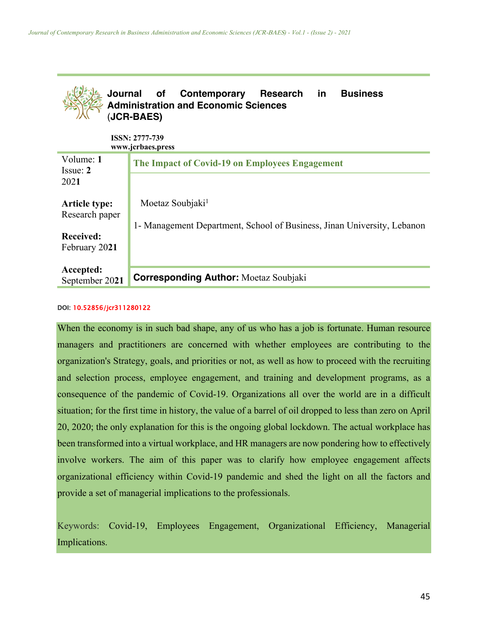

#### DOI: 10.52856/jcr311280122

When the economy is in such bad shape, any of us who has a job is fortunate. Human resource managers and practitioners are concerned with whether employees are contributing to the organization's Strategy, goals, and priorities or not, as well as how to proceed with the recruiting and selection process, employee engagement, and training and development programs, as a consequence of the pandemic of Covid-19. Organizations all over the world are in a difficult situation; for the first time in history, the value of a barrel of oil dropped to less than zero on April 20, 2020; the only explanation for this is the ongoing global lockdown. The actual workplace has been transformed into a virtual workplace, and HR managers are now pondering how to effectively involve workers. The aim of this paper was to clarify how employee engagement affects organizational efficiency within Covid-19 pandemic and shed the light on all the factors and provide a set of managerial implications to the professionals.

Keywords: Covid-19, Employees Engagement, Organizational Efficiency, Managerial Implications.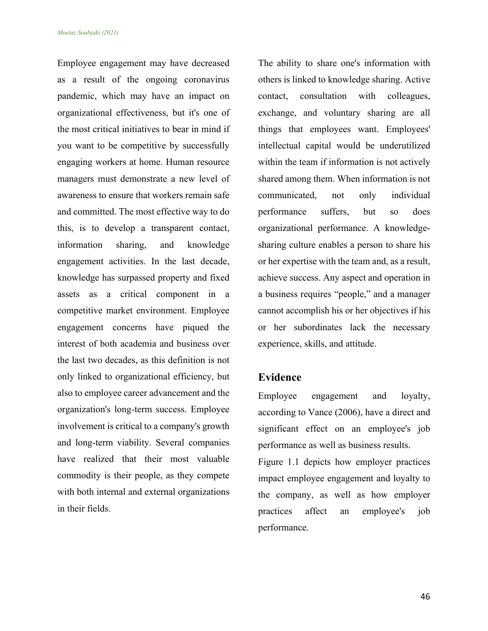Employee engagement may have decreased as a result of the ongoing coronavirus pandemic, which may have an impact on organizational effectiveness, but it's one of the most critical initiatives to bear in mind if you want to be competitive by successfully engaging workers at home. Human resource managers must demonstrate a new level of awareness to ensure that workers remain safe and committed. The most effective way to do this, is to develop a transparent contact, information sharing, and knowledge engagement activities. In the last decade, knowledge has surpassed property and fixed assets as a critical component in a competitive market environment. Employee engagement concerns have piqued the interest of both academia and business over the last two decades, as this definition is not only linked to organizational efficiency, but also to employee career advancement and the organization's long-term success. Employee involvement is critical to a company's growth and long-term viability. Several companies have realized that their most valuable commodity is their people, as they compete with both internal and external organizations in their fields.

The ability to share one's information with others is linked to knowledge sharing. Active contact, consultation with colleagues, exchange, and voluntary sharing are all things that employees want. Employees' intellectual capital would be underutilized within the team if information is not actively shared among them. When information is not communicated, not only individual performance suffers, but so does organizational performance. A knowledgesharing culture enables a person to share his or her expertise with the team and, as a result, achieve success. Any aspect and operation in a business requires "people," and a manager cannot accomplish his or her objectives if his or her subordinates lack the necessary experience, skills, and attitude.

#### **Evidence**

Employee engagement and loyalty, according to Vance (2006), have a direct and significant effect on an employee's job performance as well as business results.

Figure 1.1 depicts how employer practices impact employee engagement and loyalty to the company, as well as how employer practices affect an employee's job performance.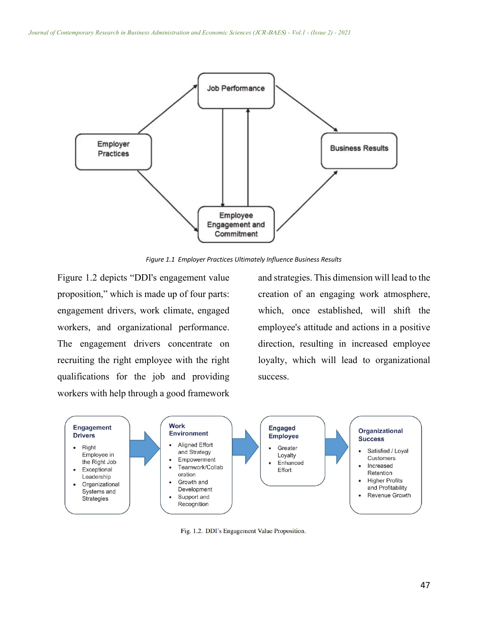

*Figure 1.1 Employer Practices Ultimately Influence Business Results*

Figure 1.2 depicts "DDI's engagement value proposition," which is made up of four parts: engagement drivers, work climate, engaged workers, and organizational performance. The engagement drivers concentrate on recruiting the right employee with the right qualifications for the job and providing workers with help through a good framework

and strategies. This dimension will lead to the creation of an engaging work atmosphere, which, once established, will shift the employee's attitude and actions in a positive direction, resulting in increased employee loyalty, which will lead to organizational success.



Fig. 1.2. DDI's Engagement Value Proposition.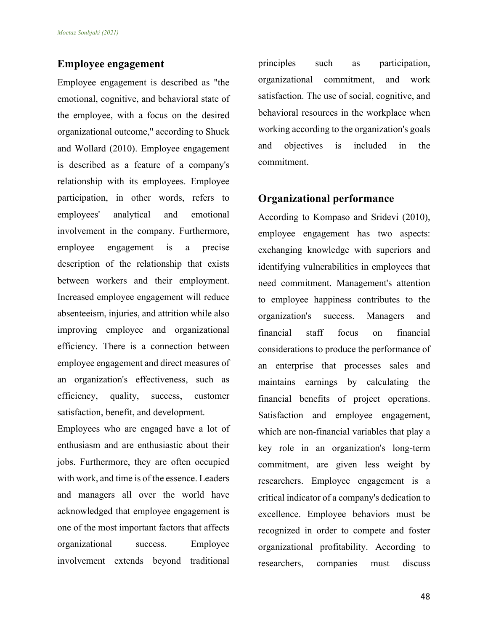## **Employee engagement**

Employee engagement is described as "the emotional, cognitive, and behavioral state of the employee, with a focus on the desired organizational outcome," according to Shuck and Wollard (2010). Employee engagement is described as a feature of a company's relationship with its employees. Employee participation, in other words, refers to employees' analytical and emotional involvement in the company. Furthermore, employee engagement is a precise description of the relationship that exists between workers and their employment. Increased employee engagement will reduce absenteeism, injuries, and attrition while also improving employee and organizational efficiency. There is a connection between employee engagement and direct measures of an organization's effectiveness, such as efficiency, quality, success, customer satisfaction, benefit, and development.

Employees who are engaged have a lot of enthusiasm and are enthusiastic about their jobs. Furthermore, they are often occupied with work, and time is of the essence. Leaders and managers all over the world have acknowledged that employee engagement is one of the most important factors that affects organizational success. Employee involvement extends beyond traditional

principles such as participation, organizational commitment, and work satisfaction. The use of social, cognitive, and behavioral resources in the workplace when working according to the organization's goals and objectives is included in the commitment.

# **Organizational performance**

According to Kompaso and Sridevi (2010), employee engagement has two aspects: exchanging knowledge with superiors and identifying vulnerabilities in employees that need commitment. Management's attention to employee happiness contributes to the organization's success. Managers and financial staff focus on financial considerations to produce the performance of an enterprise that processes sales and maintains earnings by calculating the financial benefits of project operations. Satisfaction and employee engagement, which are non-financial variables that play a key role in an organization's long-term commitment, are given less weight by researchers. Employee engagement is a critical indicator of a company's dedication to excellence. Employee behaviors must be recognized in order to compete and foster organizational profitability. According to researchers, companies must discuss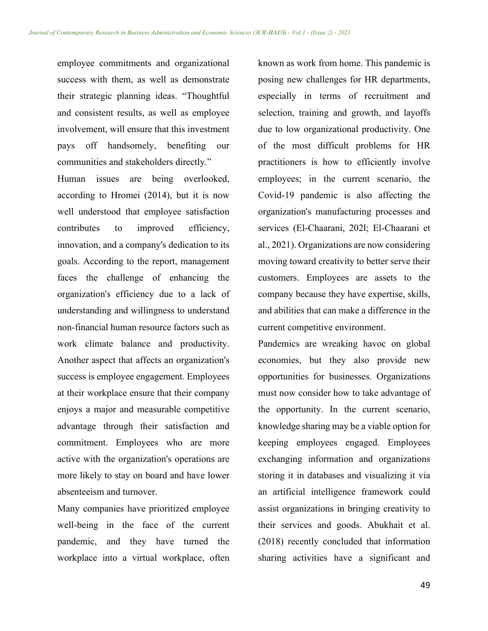employee commitments and organizational success with them, as well as demonstrate their strategic planning ideas. "Thoughtful and consistent results, as well as employee involvement, will ensure that this investment pays off handsomely, benefiting our communities and stakeholders directly."

Human issues are being overlooked, according to Hromei (2014), but it is now well understood that employee satisfaction contributes to improved efficiency, innovation, and a company's dedication to its goals. According to the report, management faces the challenge of enhancing the organization's efficiency due to a lack of understanding and willingness to understand non-financial human resource factors such as work climate balance and productivity. Another aspect that affects an organization's success is employee engagement. Employees at their workplace ensure that their company enjoys a major and measurable competitive advantage through their satisfaction and commitment. Employees who are more active with the organization's operations are more likely to stay on board and have lower absenteeism and turnover.

Many companies have prioritized employee well-being in the face of the current pandemic, and they have turned the workplace into a virtual workplace, often

known as work from home. This pandemic is posing new challenges for HR departments, especially in terms of recruitment and selection, training and growth, and layoffs due to low organizational productivity. One of the most difficult problems for HR practitioners is how to efficiently involve employees; in the current scenario, the Covid-19 pandemic is also affecting the organization's manufacturing processes and services (El-Chaarani, 202l; El-Chaarani et al., 2021). Organizations are now considering moving toward creativity to better serve their customers. Employees are assets to the company because they have expertise, skills, and abilities that can make a difference in the current competitive environment.

Pandemics are wreaking havoc on global economies, but they also provide new opportunities for businesses. Organizations must now consider how to take advantage of the opportunity. In the current scenario, knowledge sharing may be a viable option for keeping employees engaged. Employees exchanging information and organizations storing it in databases and visualizing it via an artificial intelligence framework could assist organizations in bringing creativity to their services and goods. Abukhait et al. (2018) recently concluded that information sharing activities have a significant and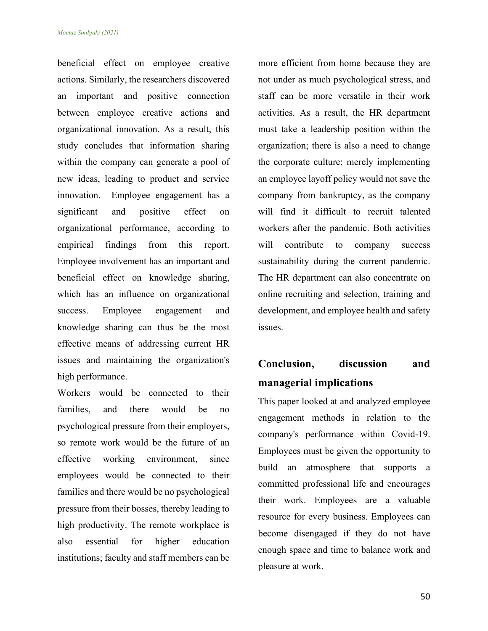beneficial effect on employee creative actions. Similarly, the researchers discovered an important and positive connection between employee creative actions and organizational innovation. As a result, this study concludes that information sharing within the company can generate a pool of new ideas, leading to product and service innovation. Employee engagement has a significant and positive effect on organizational performance, according to empirical findings from this report. Employee involvement has an important and beneficial effect on knowledge sharing, which has an influence on organizational success. Employee engagement and knowledge sharing can thus be the most effective means of addressing current HR issues and maintaining the organization's high performance.

Workers would be connected to their families, and there would be no psychological pressure from their employers, so remote work would be the future of an effective working environment, since employees would be connected to their families and there would be no psychological pressure from their bosses, thereby leading to high productivity. The remote workplace is also essential for higher education institutions; faculty and staff members can be more efficient from home because they are not under as much psychological stress, and staff can be more versatile in their work activities. As a result, the HR department must take a leadership position within the organization; there is also a need to change the corporate culture; merely implementing an employee layoff policy would not save the company from bankruptcy, as the company will find it difficult to recruit talented workers after the pandemic. Both activities will contribute to company success sustainability during the current pandemic. The HR department can also concentrate on online recruiting and selection, training and development, and employee health and safety issues.

# **Conclusion, discussion and managerial implications**

This paper looked at and analyzed employee engagement methods in relation to the company's performance within Covid-19. Employees must be given the opportunity to build an atmosphere that supports a committed professional life and encourages their work. Employees are a valuable resource for every business. Employees can become disengaged if they do not have enough space and time to balance work and pleasure at work.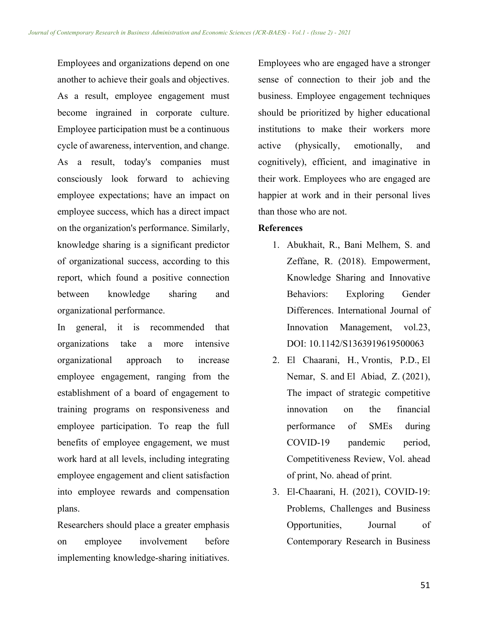Employees and organizations depend on one another to achieve their goals and objectives. As a result, employee engagement must become ingrained in corporate culture. Employee participation must be a continuous cycle of awareness, intervention, and change. As a result, today's companies must consciously look forward to achieving employee expectations; have an impact on employee success, which has a direct impact on the organization's performance. Similarly, knowledge sharing is a significant predictor of organizational success, according to this report, which found a positive connection between knowledge sharing and organizational performance.

In general, it is recommended that organizations take a more intensive organizational approach to increase employee engagement, ranging from the establishment of a board of engagement to training programs on responsiveness and employee participation. To reap the full benefits of employee engagement, we must work hard at all levels, including integrating employee engagement and client satisfaction into employee rewards and compensation plans.

Researchers should place a greater emphasis on employee involvement before implementing knowledge-sharing initiatives. Employees who are engaged have a stronger sense of connection to their job and the business. Employee engagement techniques should be prioritized by higher educational institutions to make their workers more active (physically, emotionally, and cognitively), efficient, and imaginative in their work. Employees who are engaged are happier at work and in their personal lives than those who are not.

### **References**

- 1. Abukhait, R., Bani Melhem, S. and Zeffane, R. (2018). Empowerment, Knowledge Sharing and Innovative Behaviors: Exploring Gender Differences. International Journal of Innovation Management, vol.23, DOI: 10.1142/S1363919619500063
- 2. El Chaarani, H., Vrontis, P.D., El Nemar, S. and El Abiad, Z. (2021), The impact of strategic competitive innovation on the financial performance of SMEs during COVID-19 pandemic period, Competitiveness Review, Vol. ahead of print, No. ahead of print.
- 3. El-Chaarani, H. (2021), COVID-19: Problems, Challenges and Business Opportunities, Journal of Contemporary Research in Business